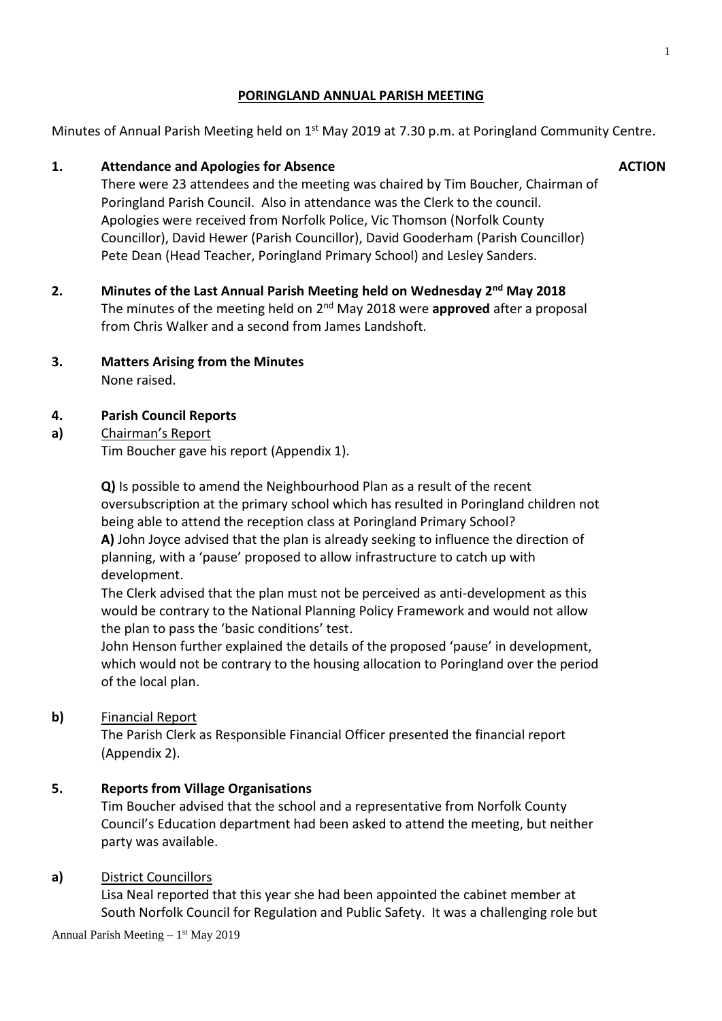# **PORINGLAND ANNUAL PARISH MEETING**

Minutes of Annual Parish Meeting held on 1<sup>st</sup> May 2019 at 7.30 p.m. at Poringland Community Centre.

# **1. Attendance and Apologies for Absence**

There were 23 attendees and the meeting was chaired by Tim Boucher, Chairman of Poringland Parish Council. Also in attendance was the Clerk to the council. Apologies were received from Norfolk Police, Vic Thomson (Norfolk County Councillor), David Hewer (Parish Councillor), David Gooderham (Parish Councillor) Pete Dean (Head Teacher, Poringland Primary School) and Lesley Sanders.

- **2. Minutes of the Last Annual Parish Meeting held on Wednesday 2nd May 2018** The minutes of the meeting held on 2<sup>nd</sup> May 2018 were **approved** after a proposal from Chris Walker and a second from James Landshoft.
- **3. Matters Arising from the Minutes** None raised.

#### **4. Parish Council Reports**

#### **a)** Chairman's Report

Tim Boucher gave his report (Appendix 1).

**Q)** Is possible to amend the Neighbourhood Plan as a result of the recent oversubscription at the primary school which has resulted in Poringland children not being able to attend the reception class at Poringland Primary School? **A)** John Joyce advised that the plan is already seeking to influence the direction of planning, with a 'pause' proposed to allow infrastructure to catch up with development.

The Clerk advised that the plan must not be perceived as anti-development as this would be contrary to the National Planning Policy Framework and would not allow the plan to pass the 'basic conditions' test.

John Henson further explained the details of the proposed 'pause' in development, which would not be contrary to the housing allocation to Poringland over the period of the local plan.

# **b)** Financial Report

The Parish Clerk as Responsible Financial Officer presented the financial report (Appendix 2).

#### **5. Reports from Village Organisations**

Tim Boucher advised that the school and a representative from Norfolk County Council's Education department had been asked to attend the meeting, but neither party was available.

#### **a)** District Councillors

Lisa Neal reported that this year she had been appointed the cabinet member at South Norfolk Council for Regulation and Public Safety. It was a challenging role but

# **ACTION**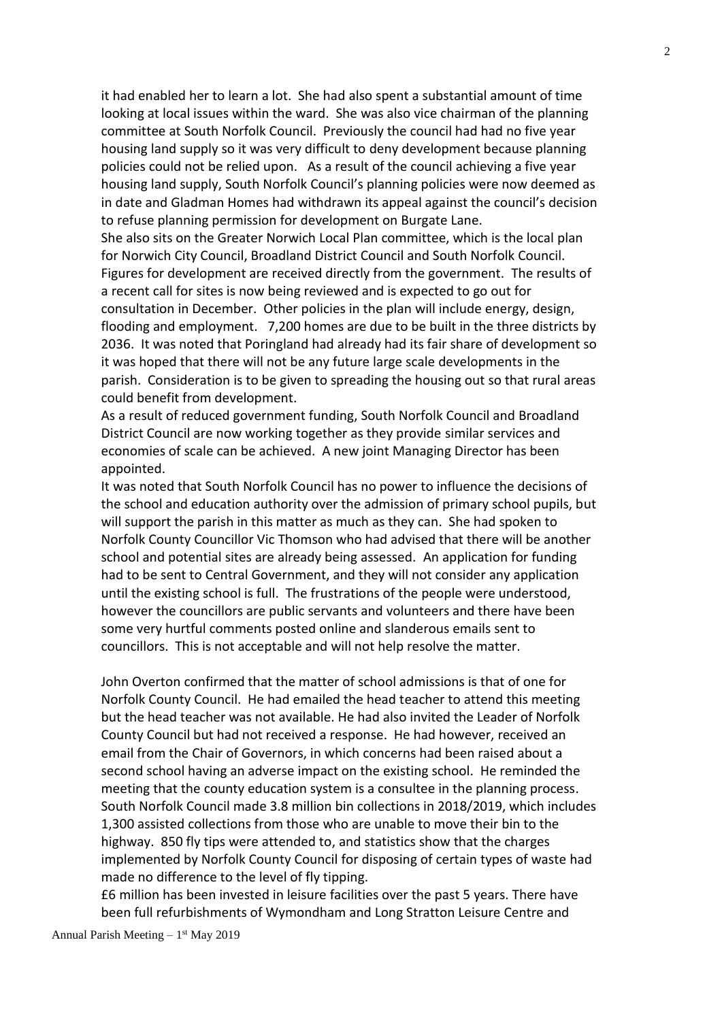it had enabled her to learn a lot. She had also spent a substantial amount of time looking at local issues within the ward. She was also vice chairman of the planning committee at South Norfolk Council. Previously the council had had no five year housing land supply so it was very difficult to deny development because planning policies could not be relied upon. As a result of the council achieving a five year housing land supply, South Norfolk Council's planning policies were now deemed as in date and Gladman Homes had withdrawn its appeal against the council's decision to refuse planning permission for development on Burgate Lane.

She also sits on the Greater Norwich Local Plan committee, which is the local plan for Norwich City Council, Broadland District Council and South Norfolk Council. Figures for development are received directly from the government. The results of a recent call for sites is now being reviewed and is expected to go out for consultation in December. Other policies in the plan will include energy, design, flooding and employment. 7,200 homes are due to be built in the three districts by 2036. It was noted that Poringland had already had its fair share of development so it was hoped that there will not be any future large scale developments in the parish. Consideration is to be given to spreading the housing out so that rural areas could benefit from development.

As a result of reduced government funding, South Norfolk Council and Broadland District Council are now working together as they provide similar services and economies of scale can be achieved. A new joint Managing Director has been appointed.

It was noted that South Norfolk Council has no power to influence the decisions of the school and education authority over the admission of primary school pupils, but will support the parish in this matter as much as they can. She had spoken to Norfolk County Councillor Vic Thomson who had advised that there will be another school and potential sites are already being assessed. An application for funding had to be sent to Central Government, and they will not consider any application until the existing school is full. The frustrations of the people were understood, however the councillors are public servants and volunteers and there have been some very hurtful comments posted online and slanderous emails sent to councillors. This is not acceptable and will not help resolve the matter.

John Overton confirmed that the matter of school admissions is that of one for Norfolk County Council. He had emailed the head teacher to attend this meeting but the head teacher was not available. He had also invited the Leader of Norfolk County Council but had not received a response. He had however, received an email from the Chair of Governors, in which concerns had been raised about a second school having an adverse impact on the existing school. He reminded the meeting that the county education system is a consultee in the planning process. South Norfolk Council made 3.8 million bin collections in 2018/2019, which includes 1,300 assisted collections from those who are unable to move their bin to the highway. 850 fly tips were attended to, and statistics show that the charges implemented by Norfolk County Council for disposing of certain types of waste had made no difference to the level of fly tipping.

£6 million has been invested in leisure facilities over the past 5 years. There have been full refurbishments of Wymondham and Long Stratton Leisure Centre and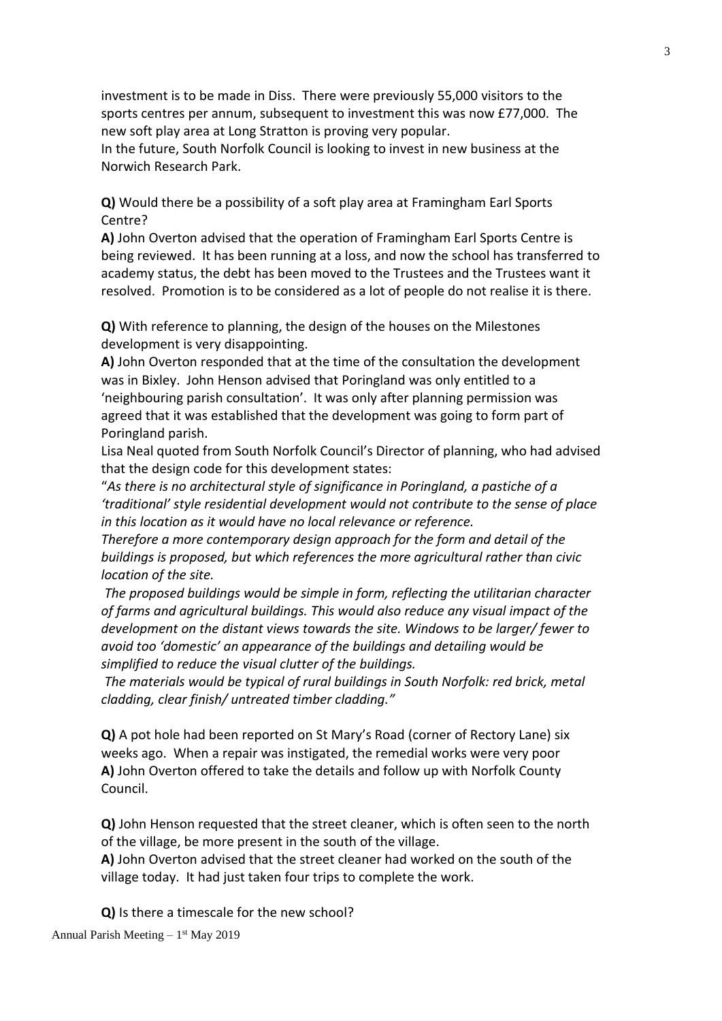investment is to be made in Diss. There were previously 55,000 visitors to the sports centres per annum, subsequent to investment this was now £77,000. The new soft play area at Long Stratton is proving very popular.

In the future, South Norfolk Council is looking to invest in new business at the Norwich Research Park.

**Q)** Would there be a possibility of a soft play area at Framingham Earl Sports Centre?

**A)** John Overton advised that the operation of Framingham Earl Sports Centre is being reviewed. It has been running at a loss, and now the school has transferred to academy status, the debt has been moved to the Trustees and the Trustees want it resolved. Promotion is to be considered as a lot of people do not realise it is there.

**Q)** With reference to planning, the design of the houses on the Milestones development is very disappointing.

**A)** John Overton responded that at the time of the consultation the development was in Bixley. John Henson advised that Poringland was only entitled to a 'neighbouring parish consultation'. It was only after planning permission was agreed that it was established that the development was going to form part of Poringland parish.

Lisa Neal quoted from South Norfolk Council's Director of planning, who had advised that the design code for this development states:

"*As there is no architectural style of significance in Poringland, a pastiche of a 'traditional' style residential development would not contribute to the sense of place in this location as it would have no local relevance or reference.* 

*Therefore a more contemporary design approach for the form and detail of the buildings is proposed, but which references the more agricultural rather than civic location of the site.* 

*The proposed buildings would be simple in form, reflecting the utilitarian character of farms and agricultural buildings. This would also reduce any visual impact of the development on the distant views towards the site. Windows to be larger/ fewer to avoid too 'domestic' an appearance of the buildings and detailing would be simplified to reduce the visual clutter of the buildings.* 

*The materials would be typical of rural buildings in South Norfolk: red brick, metal cladding, clear finish/ untreated timber cladding."* 

**Q)** A pot hole had been reported on St Mary's Road (corner of Rectory Lane) six weeks ago. When a repair was instigated, the remedial works were very poor **A)** John Overton offered to take the details and follow up with Norfolk County Council.

**Q)** John Henson requested that the street cleaner, which is often seen to the north of the village, be more present in the south of the village.

**A)** John Overton advised that the street cleaner had worked on the south of the village today. It had just taken four trips to complete the work.

**Q)** Is there a timescale for the new school?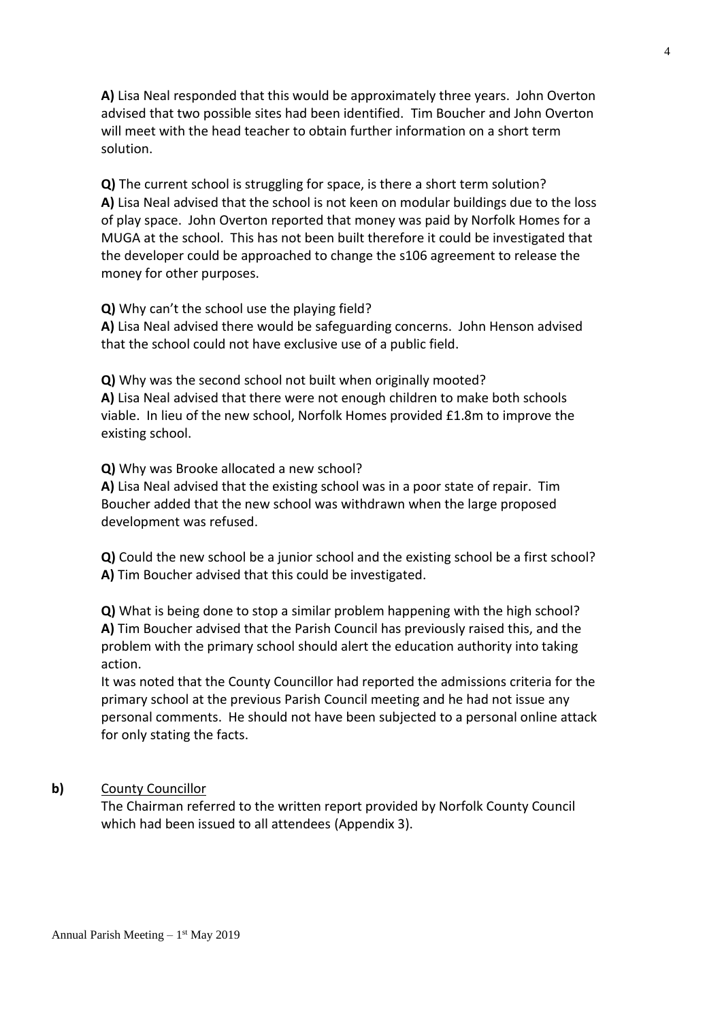**A)** Lisa Neal responded that this would be approximately three years. John Overton advised that two possible sites had been identified. Tim Boucher and John Overton will meet with the head teacher to obtain further information on a short term solution.

**Q)** The current school is struggling for space, is there a short term solution? **A)** Lisa Neal advised that the school is not keen on modular buildings due to the loss of play space. John Overton reported that money was paid by Norfolk Homes for a MUGA at the school. This has not been built therefore it could be investigated that the developer could be approached to change the s106 agreement to release the money for other purposes.

**Q)** Why can't the school use the playing field?

**A)** Lisa Neal advised there would be safeguarding concerns. John Henson advised that the school could not have exclusive use of a public field.

**Q)** Why was the second school not built when originally mooted? **A)** Lisa Neal advised that there were not enough children to make both schools viable. In lieu of the new school, Norfolk Homes provided £1.8m to improve the existing school.

**Q)** Why was Brooke allocated a new school?

**A)** Lisa Neal advised that the existing school was in a poor state of repair. Tim Boucher added that the new school was withdrawn when the large proposed development was refused.

**Q)** Could the new school be a junior school and the existing school be a first school? **A)** Tim Boucher advised that this could be investigated.

**Q)** What is being done to stop a similar problem happening with the high school? **A)** Tim Boucher advised that the Parish Council has previously raised this, and the problem with the primary school should alert the education authority into taking action.

It was noted that the County Councillor had reported the admissions criteria for the primary school at the previous Parish Council meeting and he had not issue any personal comments. He should not have been subjected to a personal online attack for only stating the facts.

#### **b)** County Councillor

The Chairman referred to the written report provided by Norfolk County Council which had been issued to all attendees (Appendix 3).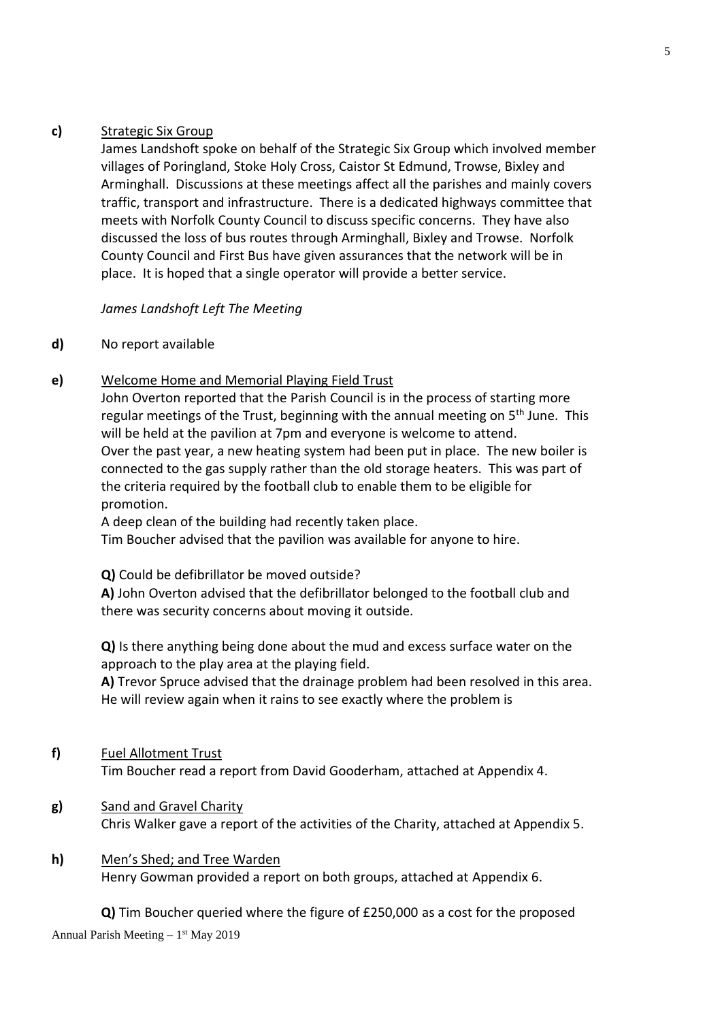### **c)** Strategic Six Group

James Landshoft spoke on behalf of the Strategic Six Group which involved member villages of Poringland, Stoke Holy Cross, Caistor St Edmund, Trowse, Bixley and Arminghall. Discussions at these meetings affect all the parishes and mainly covers traffic, transport and infrastructure. There is a dedicated highways committee that meets with Norfolk County Council to discuss specific concerns. They have also discussed the loss of bus routes through Arminghall, Bixley and Trowse. Norfolk County Council and First Bus have given assurances that the network will be in place. It is hoped that a single operator will provide a better service.

### *James Landshoft Left The Meeting*

# **d)** No report available

# **e)** Welcome Home and Memorial Playing Field Trust

John Overton reported that the Parish Council is in the process of starting more regular meetings of the Trust, beginning with the annual meeting on 5<sup>th</sup> June. This will be held at the pavilion at 7pm and everyone is welcome to attend. Over the past year, a new heating system had been put in place. The new boiler is connected to the gas supply rather than the old storage heaters. This was part of the criteria required by the football club to enable them to be eligible for promotion.

A deep clean of the building had recently taken place.

Tim Boucher advised that the pavilion was available for anyone to hire.

**Q)** Could be defibrillator be moved outside?

**A)** John Overton advised that the defibrillator belonged to the football club and there was security concerns about moving it outside.

**Q)** Is there anything being done about the mud and excess surface water on the approach to the play area at the playing field.

**A)** Trevor Spruce advised that the drainage problem had been resolved in this area. He will review again when it rains to see exactly where the problem is

**f)** Fuel Allotment Trust

Tim Boucher read a report from David Gooderham, attached at Appendix 4.

**g)** Sand and Gravel Charity Chris Walker gave a report of the activities of the Charity, attached at Appendix 5.

### **h)** Men's Shed; and Tree Warden

Henry Gowman provided a report on both groups, attached at Appendix 6.

**Q)** Tim Boucher queried where the figure of £250,000 as a cost for the proposed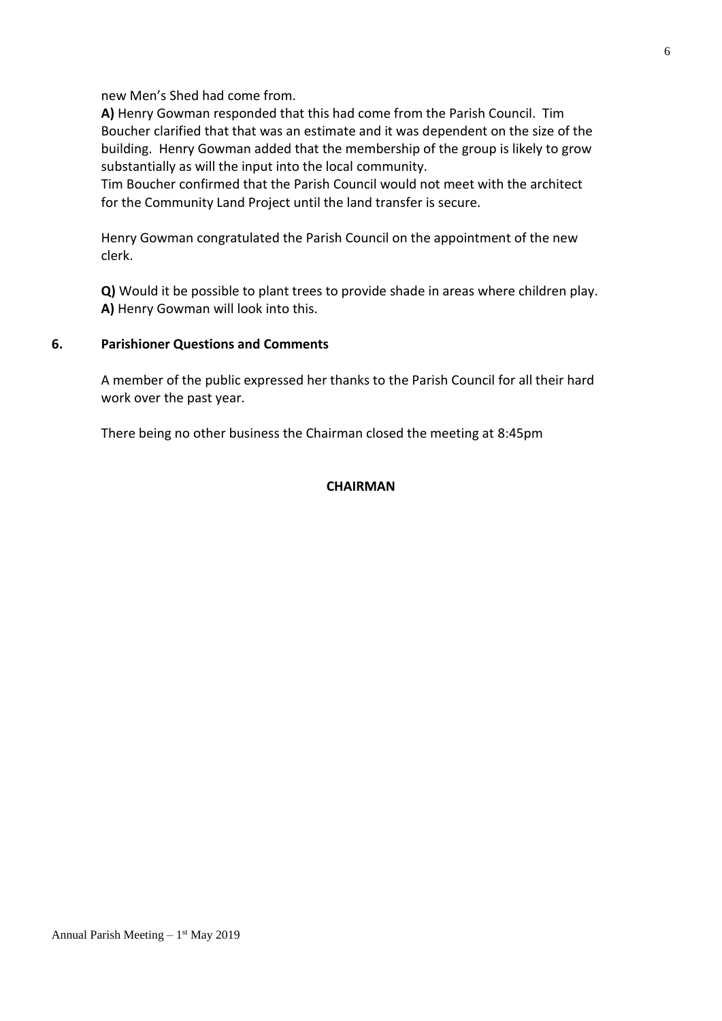new Men's Shed had come from.

**A)** Henry Gowman responded that this had come from the Parish Council. Tim Boucher clarified that that was an estimate and it was dependent on the size of the building. Henry Gowman added that the membership of the group is likely to grow substantially as will the input into the local community.

Tim Boucher confirmed that the Parish Council would not meet with the architect for the Community Land Project until the land transfer is secure.

Henry Gowman congratulated the Parish Council on the appointment of the new clerk.

**Q)** Would it be possible to plant trees to provide shade in areas where children play. **A)** Henry Gowman will look into this.

#### **6. Parishioner Questions and Comments**

A member of the public expressed her thanks to the Parish Council for all their hard work over the past year.

There being no other business the Chairman closed the meeting at 8:45pm

#### **CHAIRMAN**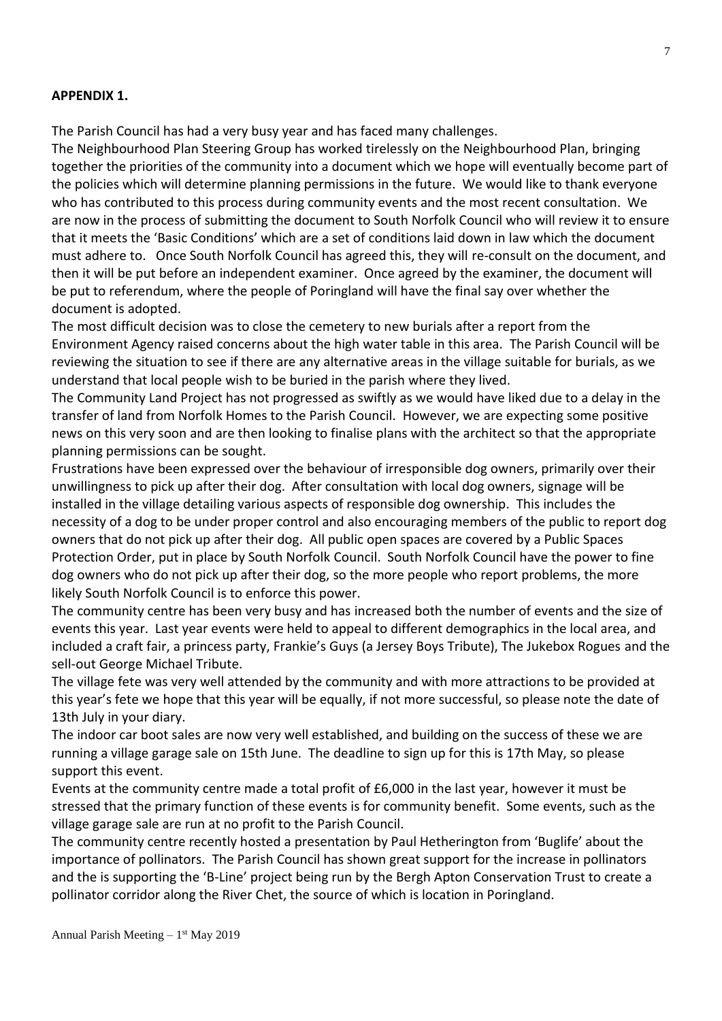#### **APPENDIX 1.**

The Parish Council has had a very busy year and has faced many challenges.

The Neighbourhood Plan Steering Group has worked tirelessly on the Neighbourhood Plan, bringing together the priorities of the community into a document which we hope will eventually become part of the policies which will determine planning permissions in the future. We would like to thank everyone who has contributed to this process during community events and the most recent consultation. We are now in the process of submitting the document to South Norfolk Council who will review it to ensure that it meets the 'Basic Conditions' which are a set of conditions laid down in law which the document must adhere to. Once South Norfolk Council has agreed this, they will re-consult on the document, and then it will be put before an independent examiner. Once agreed by the examiner, the document will be put to referendum, where the people of Poringland will have the final say over whether the document is adopted.

The most difficult decision was to close the cemetery to new burials after a report from the Environment Agency raised concerns about the high water table in this area. The Parish Council will be reviewing the situation to see if there are any alternative areas in the village suitable for burials, as we understand that local people wish to be buried in the parish where they lived.

The Community Land Project has not progressed as swiftly as we would have liked due to a delay in the transfer of land from Norfolk Homes to the Parish Council. However, we are expecting some positive news on this very soon and are then looking to finalise plans with the architect so that the appropriate planning permissions can be sought.

Frustrations have been expressed over the behaviour of irresponsible dog owners, primarily over their unwillingness to pick up after their dog. After consultation with local dog owners, signage will be installed in the village detailing various aspects of responsible dog ownership. This includes the necessity of a dog to be under proper control and also encouraging members of the public to report dog owners that do not pick up after their dog. All public open spaces are covered by a Public Spaces Protection Order, put in place by South Norfolk Council. South Norfolk Council have the power to fine dog owners who do not pick up after their dog, so the more people who report problems, the more likely South Norfolk Council is to enforce this power.

The community centre has been very busy and has increased both the number of events and the size of events this year. Last year events were held to appeal to different demographics in the local area, and included a craft fair, a princess party, Frankie's Guys (a Jersey Boys Tribute), The Jukebox Rogues and the sell-out George Michael Tribute.

The village fete was very well attended by the community and with more attractions to be provided at this year's fete we hope that this year will be equally, if not more successful, so please note the date of 13th July in your diary.

The indoor car boot sales are now very well established, and building on the success of these we are running a village garage sale on 15th June. The deadline to sign up for this is 17th May, so please support this event.

Events at the community centre made a total profit of £6,000 in the last year, however it must be stressed that the primary function of these events is for community benefit. Some events, such as the village garage sale are run at no profit to the Parish Council.

The community centre recently hosted a presentation by Paul Hetherington from 'Buglife' about the importance of pollinators. The Parish Council has shown great support for the increase in pollinators and the is supporting the 'B-Line' project being run by the Bergh Apton Conservation Trust to create a pollinator corridor along the River Chet, the source of which is location in Poringland.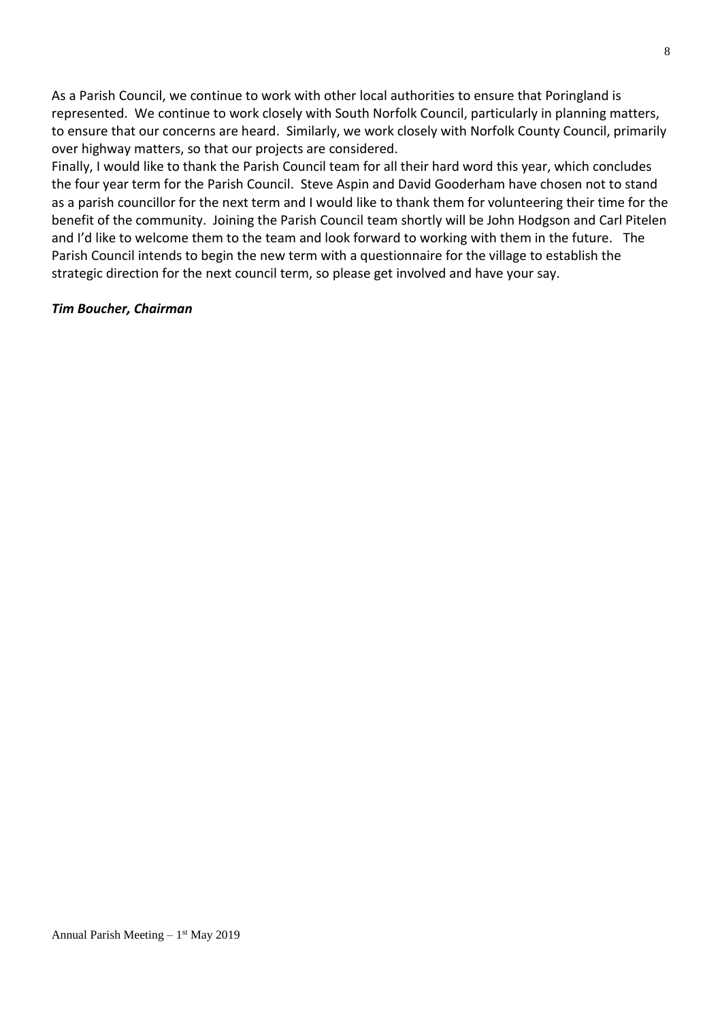As a Parish Council, we continue to work with other local authorities to ensure that Poringland is represented. We continue to work closely with South Norfolk Council, particularly in planning matters, to ensure that our concerns are heard. Similarly, we work closely with Norfolk County Council, primarily over highway matters, so that our projects are considered.

Finally, I would like to thank the Parish Council team for all their hard word this year, which concludes the four year term for the Parish Council. Steve Aspin and David Gooderham have chosen not to stand as a parish councillor for the next term and I would like to thank them for volunteering their time for the benefit of the community. Joining the Parish Council team shortly will be John Hodgson and Carl Pitelen and I'd like to welcome them to the team and look forward to working with them in the future. The Parish Council intends to begin the new term with a questionnaire for the village to establish the strategic direction for the next council term, so please get involved and have your say.

#### *Tim Boucher, Chairman*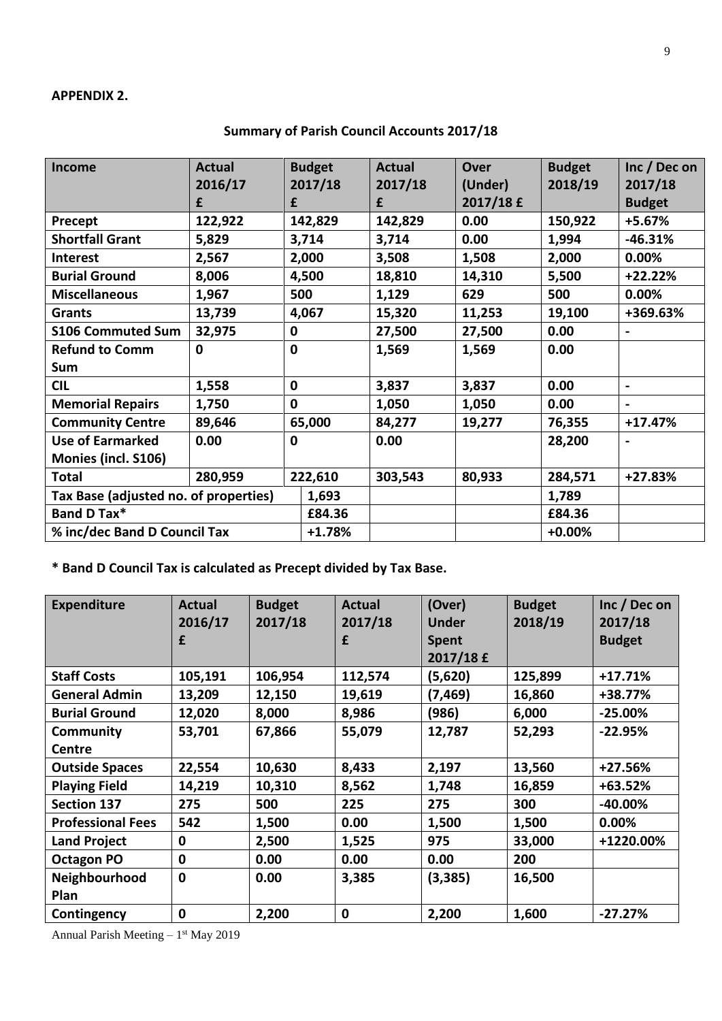#### **APPENDIX 2.**

| <b>Income</b>                         | <b>Actual</b> |             | <b>Budget</b> | <b>Actual</b> | <b>Over</b> | <b>Budget</b> | Inc / Dec on   |
|---------------------------------------|---------------|-------------|---------------|---------------|-------------|---------------|----------------|
|                                       | 2016/17       |             | 2017/18       | 2017/18       | (Under)     | 2018/19       | 2017/18        |
|                                       | £             | £           |               | £             | 2017/18 £   |               | <b>Budget</b>  |
| Precept                               | 122,922       | 142,829     |               | 142,829       | 0.00        | 150,922       | +5.67%         |
| <b>Shortfall Grant</b>                | 5,829         | 3,714       |               | 3,714         | 0.00        | 1,994         | $-46.31%$      |
| Interest                              | 2,567         | 2,000       |               | 3,508         | 1,508       | 2,000         | 0.00%          |
| <b>Burial Ground</b>                  | 8,006         | 4,500       |               | 18,810        | 14,310      | 5,500         | $+22.22%$      |
| <b>Miscellaneous</b>                  | 1,967         | 500         |               | 1,129         | 629         | 500           | 0.00%          |
| <b>Grants</b>                         | 13,739        | 4,067       |               | 15,320        | 11,253      | 19,100        | +369.63%       |
| <b>S106 Commuted Sum</b>              | 32,975        | 0           |               | 27,500        | 27,500      | 0.00          |                |
| <b>Refund to Comm</b>                 | $\mathbf 0$   | $\mathbf 0$ |               | 1,569         | 1,569       | 0.00          |                |
| Sum                                   |               |             |               |               |             |               |                |
| <b>CIL</b>                            | 1,558         | $\mathbf 0$ |               | 3,837         | 3,837       | 0.00          | $\blacksquare$ |
| <b>Memorial Repairs</b>               | 1,750         | $\mathbf 0$ |               | 1,050         | 1,050       | 0.00          |                |
| <b>Community Centre</b>               | 89,646        | 65,000      |               | 84,277        | 19,277      | 76,355        | $+17.47%$      |
| <b>Use of Earmarked</b>               | 0.00          | $\mathbf 0$ |               | 0.00          |             | 28,200        |                |
| Monies (incl. S106)                   |               |             |               |               |             |               |                |
| <b>Total</b>                          | 280,959       | 222,610     |               | 303,543       | 80,933      | 284,571       | $+27.83%$      |
| Tax Base (adjusted no. of properties) |               |             | 1,693         |               |             | 1,789         |                |
| Band D Tax*                           |               |             | £84.36        |               |             | £84.36        |                |
| % inc/dec Band D Council Tax          |               |             | $+1.78%$      |               |             | $+0.00%$      |                |

**Summary of Parish Council Accounts 2017/18**

**\* Band D Council Tax is calculated as Precept divided by Tax Base.**

| <b>Expenditure</b>       | Actual       | <b>Budget</b><br>2017/18 | <b>Actual</b> | (Over)                       | <b>Budget</b><br>2018/19 | Inc / Dec on             |
|--------------------------|--------------|--------------------------|---------------|------------------------------|--------------------------|--------------------------|
|                          | 2016/17<br>£ |                          | 2017/18<br>£  | <b>Under</b><br><b>Spent</b> |                          | 2017/18<br><b>Budget</b> |
|                          |              |                          |               | 2017/18 £                    |                          |                          |
| <b>Staff Costs</b>       | 105,191      | 106,954                  | 112,574       | (5,620)                      | 125,899                  | $+17.71%$                |
| <b>General Admin</b>     | 13,209       | 12,150                   | 19,619        | (7,469)                      | 16,860                   | +38.77%                  |
| <b>Burial Ground</b>     | 12,020       | 8,000                    | 8,986         | (986)                        | 6,000                    | $-25.00\%$               |
| Community                | 53,701       | 67,866                   | 55,079        | 12,787                       | 52,293                   | $-22.95%$                |
| Centre                   |              |                          |               |                              |                          |                          |
| <b>Outside Spaces</b>    | 22,554       | 10,630                   | 8,433         | 2,197                        | 13,560                   | $+27.56%$                |
| <b>Playing Field</b>     | 14,219       | 10,310                   | 8,562         | 1,748                        | 16,859                   | +63.52%                  |
| <b>Section 137</b>       | 275          | 500                      | 225           | 275                          | 300                      | $-40.00\%$               |
| <b>Professional Fees</b> | 542          | 1,500                    | 0.00          | 1,500                        | 1,500                    | 0.00%                    |
| <b>Land Project</b>      | 0            | 2,500                    | 1,525         | 975                          | 33,000                   | +1220.00%                |
| <b>Octagon PO</b>        | 0            | 0.00                     | 0.00          | 0.00                         | 200                      |                          |
| Neighbourhood            | $\mathbf 0$  | 0.00                     | 3,385         | (3, 385)                     | 16,500                   |                          |
| <b>Plan</b>              |              |                          |               |                              |                          |                          |
| Contingency              | $\mathbf 0$  | 2,200                    | 0             | 2,200                        | 1,600                    | $-27.27%$                |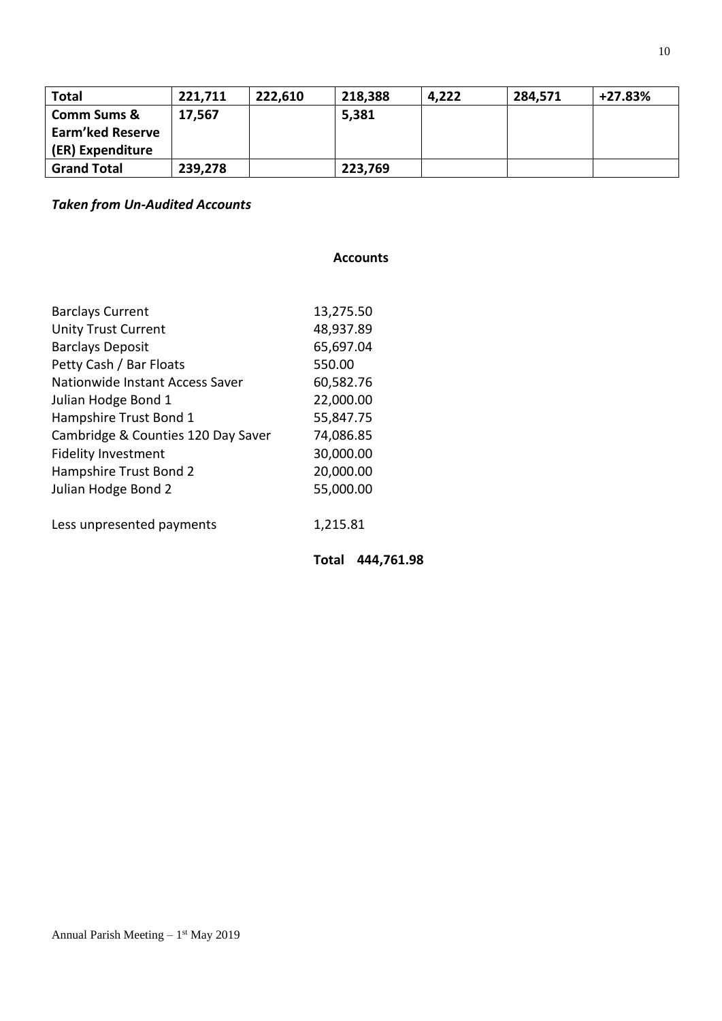| <b>Total</b>            | 221,711 | 222,610 | 218,388 | 4,222 | 284,571 | $+27.83%$ |
|-------------------------|---------|---------|---------|-------|---------|-----------|
| <b>Comm Sums &amp;</b>  | 17,567  |         | 5,381   |       |         |           |
| <b>Earm'ked Reserve</b> |         |         |         |       |         |           |
| (ER) Expenditure        |         |         |         |       |         |           |
| <b>Grand Total</b>      | 239,278 |         | 223,769 |       |         |           |

# *Taken from Un-Audited Accounts*

#### **Accounts**

| <b>Barclays Current</b>            | 13,275.50 |
|------------------------------------|-----------|
| <b>Unity Trust Current</b>         | 48,937.89 |
| <b>Barclays Deposit</b>            | 65,697.04 |
| Petty Cash / Bar Floats            | 550.00    |
| Nationwide Instant Access Saver    | 60,582.76 |
| Julian Hodge Bond 1                | 22,000.00 |
| Hampshire Trust Bond 1             | 55,847.75 |
| Cambridge & Counties 120 Day Saver | 74,086.85 |
| <b>Fidelity Investment</b>         | 30,000.00 |
| Hampshire Trust Bond 2             | 20,000.00 |
| Julian Hodge Bond 2                | 55,000.00 |
| Less unpresented payments          | 1,215.81  |

**Total 444,761.98**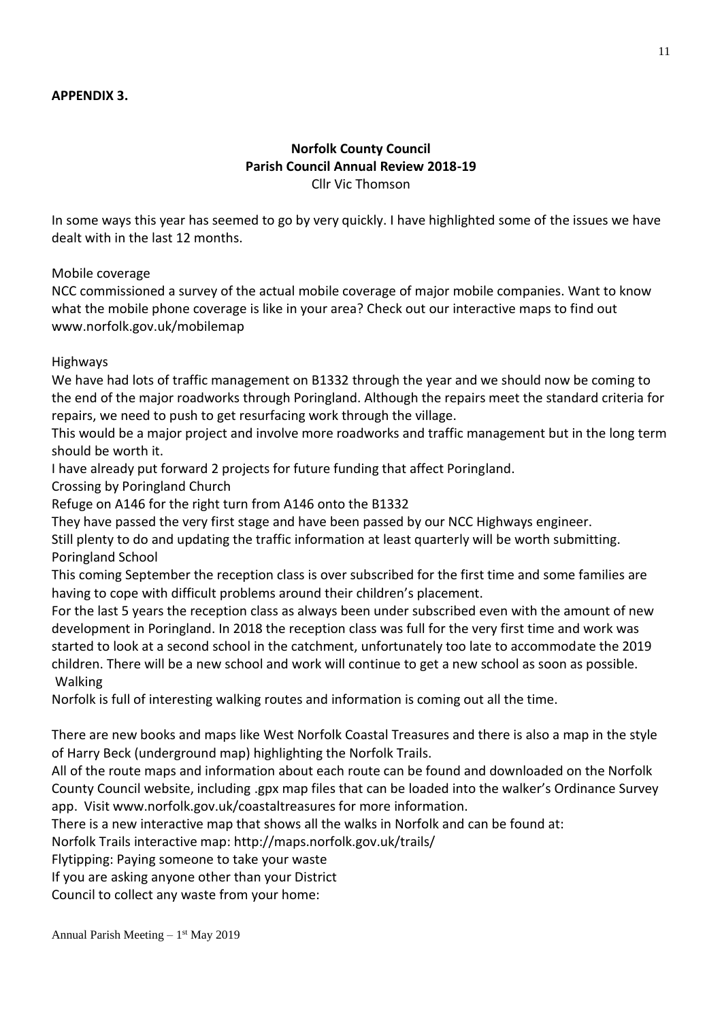# **Norfolk County Council Parish Council Annual Review 2018-19** Cllr Vic Thomson

In some ways this year has seemed to go by very quickly. I have highlighted some of the issues we have dealt with in the last 12 months.

Mobile coverage

NCC commissioned a survey of the actual mobile coverage of major mobile companies. Want to know what the mobile phone coverage is like in your area? Check out our interactive maps to find out www.norfolk.gov.uk/mobilemap

Highways

We have had lots of traffic management on B1332 through the year and we should now be coming to the end of the major roadworks through Poringland. Although the repairs meet the standard criteria for repairs, we need to push to get resurfacing work through the village.

This would be a major project and involve more roadworks and traffic management but in the long term should be worth it.

I have already put forward 2 projects for future funding that affect Poringland.

Crossing by Poringland Church

Refuge on A146 for the right turn from A146 onto the B1332

They have passed the very first stage and have been passed by our NCC Highways engineer.

Still plenty to do and updating the traffic information at least quarterly will be worth submitting. Poringland School

This coming September the reception class is over subscribed for the first time and some families are having to cope with difficult problems around their children's placement.

For the last 5 years the reception class as always been under subscribed even with the amount of new development in Poringland. In 2018 the reception class was full for the very first time and work was started to look at a second school in the catchment, unfortunately too late to accommodate the 2019 children. There will be a new school and work will continue to get a new school as soon as possible. Walking

Norfolk is full of interesting walking routes and information is coming out all the time.

There are new books and maps like West Norfolk Coastal Treasures and there is also a map in the style of Harry Beck (underground map) highlighting the Norfolk Trails.

All of the route maps and information about each route can be found and downloaded on the Norfolk County Council website, including .gpx map files that can be loaded into the walker's Ordinance Survey app. Visit www.norfolk.gov.uk/coastaltreasures for more information.

There is a new interactive map that shows all the walks in Norfolk and can be found at:

Norfolk Trails interactive map: http://maps.norfolk.gov.uk/trails/

Flytipping: Paying someone to take your waste

If you are asking anyone other than your District

Council to collect any waste from your home: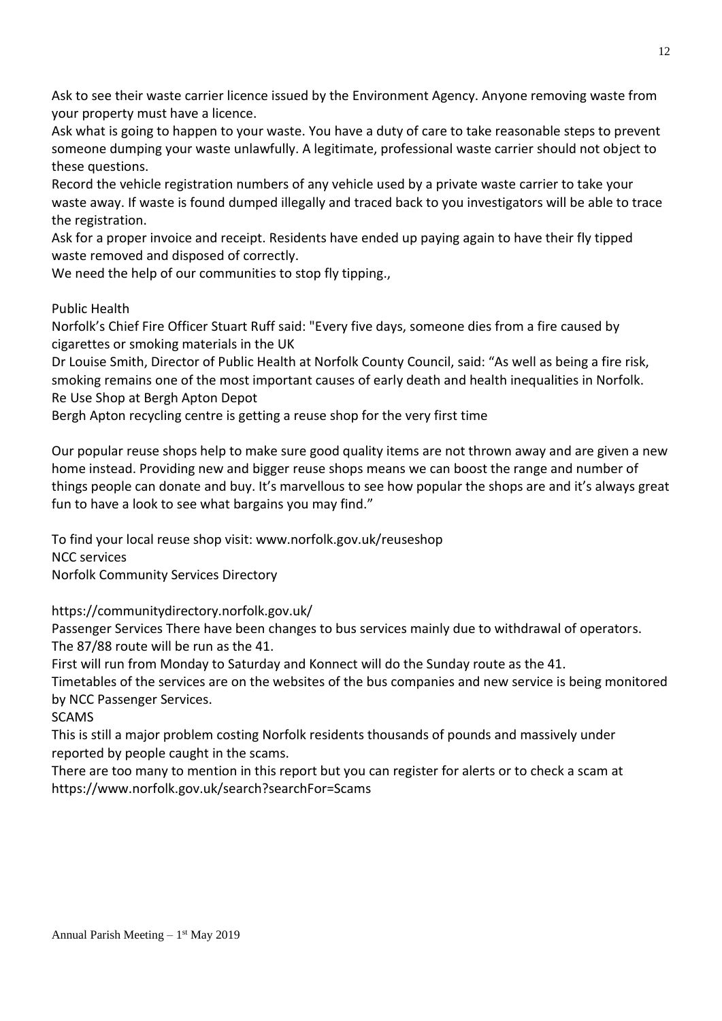Ask to see their waste carrier licence issued by the Environment Agency. Anyone removing waste from your property must have a licence.

Ask what is going to happen to your waste. You have a duty of care to take reasonable steps to prevent someone dumping your waste unlawfully. A legitimate, professional waste carrier should not object to these questions.

Record the vehicle registration numbers of any vehicle used by a private waste carrier to take your waste away. If waste is found dumped illegally and traced back to you investigators will be able to trace the registration.

Ask for a proper invoice and receipt. Residents have ended up paying again to have their fly tipped waste removed and disposed of correctly.

We need the help of our communities to stop fly tipping.,

# Public Health

Norfolk's Chief Fire Officer Stuart Ruff said: "Every five days, someone dies from a fire caused by cigarettes or smoking materials in the UK

Dr Louise Smith, Director of Public Health at Norfolk County Council, said: "As well as being a fire risk, smoking remains one of the most important causes of early death and health inequalities in Norfolk. Re Use Shop at Bergh Apton Depot

Bergh Apton recycling centre is getting a reuse shop for the very first time

Our popular reuse shops help to make sure good quality items are not thrown away and are given a new home instead. Providing new and bigger reuse shops means we can boost the range and number of things people can donate and buy. It's marvellous to see how popular the shops are and it's always great fun to have a look to see what bargains you may find."

To find your local reuse shop visit: www.norfolk.gov.uk/reuseshop NCC services Norfolk Community Services Directory

https://communitydirectory.norfolk.gov.uk/

Passenger Services There have been changes to bus services mainly due to withdrawal of operators. The 87/88 route will be run as the 41.

First will run from Monday to Saturday and Konnect will do the Sunday route as the 41.

Timetables of the services are on the websites of the bus companies and new service is being monitored by NCC Passenger Services.

SCAMS

This is still a major problem costing Norfolk residents thousands of pounds and massively under reported by people caught in the scams.

There are too many to mention in this report but you can register for alerts or to check a scam at https://www.norfolk.gov.uk/search?searchFor=Scams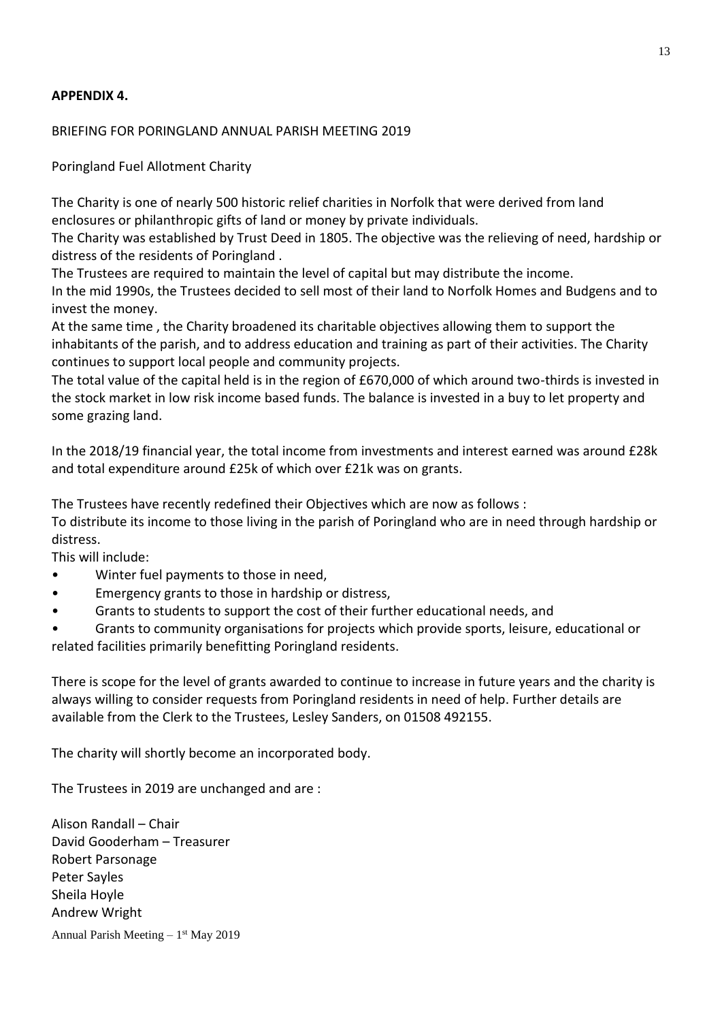# **APPENDIX 4.**

#### BRIEFING FOR PORINGLAND ANNUAL PARISH MEETING 2019

Poringland Fuel Allotment Charity

The Charity is one of nearly 500 historic relief charities in Norfolk that were derived from land enclosures or philanthropic gifts of land or money by private individuals.

The Charity was established by Trust Deed in 1805. The objective was the relieving of need, hardship or distress of the residents of Poringland .

The Trustees are required to maintain the level of capital but may distribute the income. In the mid 1990s, the Trustees decided to sell most of their land to Norfolk Homes and Budgens and to invest the money.

At the same time , the Charity broadened its charitable objectives allowing them to support the inhabitants of the parish, and to address education and training as part of their activities. The Charity continues to support local people and community projects.

The total value of the capital held is in the region of £670,000 of which around two-thirds is invested in the stock market in low risk income based funds. The balance is invested in a buy to let property and some grazing land.

In the 2018/19 financial year, the total income from investments and interest earned was around £28k and total expenditure around £25k of which over £21k was on grants.

The Trustees have recently redefined their Objectives which are now as follows :

To distribute its income to those living in the parish of Poringland who are in need through hardship or distress.

This will include:

- Winter fuel payments to those in need,
- Emergency grants to those in hardship or distress,
- Grants to students to support the cost of their further educational needs, and
- Grants to community organisations for projects which provide sports, leisure, educational or related facilities primarily benefitting Poringland residents.

There is scope for the level of grants awarded to continue to increase in future years and the charity is always willing to consider requests from Poringland residents in need of help. Further details are available from the Clerk to the Trustees, Lesley Sanders, on 01508 492155.

The charity will shortly become an incorporated body.

The Trustees in 2019 are unchanged and are :

Alison Randall – Chair David Gooderham – Treasurer Robert Parsonage Peter Sayles Sheila Hoyle Andrew Wright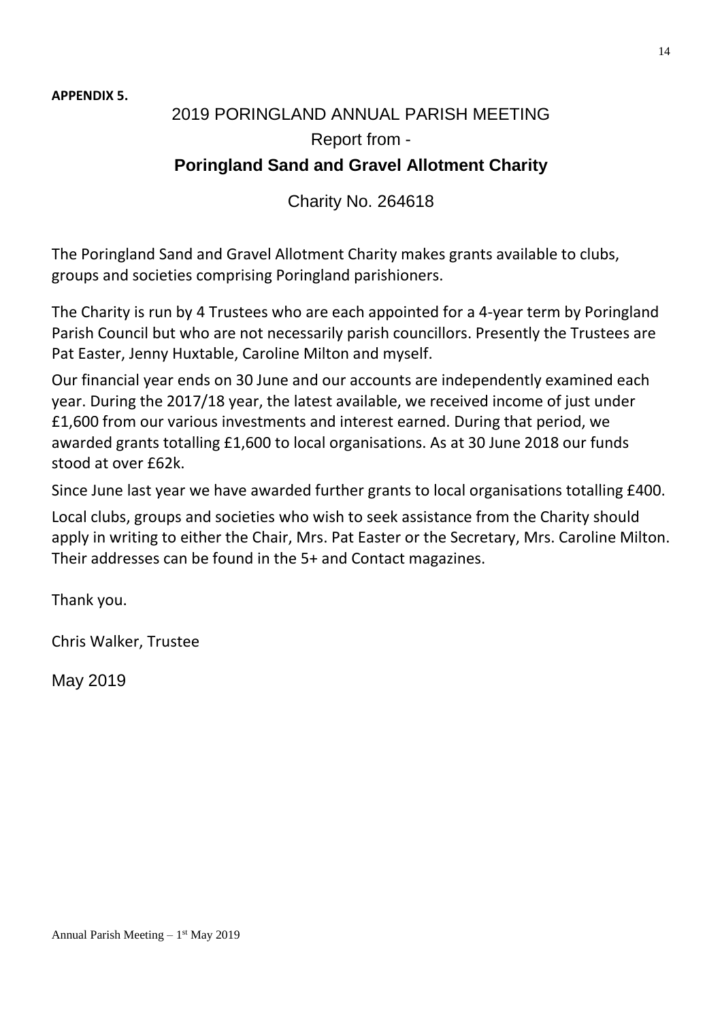**APPENDIX 5.**

# 2019 PORINGLAND ANNUAL PARISH MEETING Report from - **Poringland Sand and Gravel Allotment Charity**

Charity No. 264618

The Poringland Sand and Gravel Allotment Charity makes grants available to clubs, groups and societies comprising Poringland parishioners.

The Charity is run by 4 Trustees who are each appointed for a 4-year term by Poringland Parish Council but who are not necessarily parish councillors. Presently the Trustees are Pat Easter, Jenny Huxtable, Caroline Milton and myself.

Our financial year ends on 30 June and our accounts are independently examined each year. During the 2017/18 year, the latest available, we received income of just under £1,600 from our various investments and interest earned. During that period, we awarded grants totalling £1,600 to local organisations. As at 30 June 2018 our funds stood at over £62k.

Since June last year we have awarded further grants to local organisations totalling £400.

Local clubs, groups and societies who wish to seek assistance from the Charity should apply in writing to either the Chair, Mrs. Pat Easter or the Secretary, Mrs. Caroline Milton. Their addresses can be found in the 5+ and Contact magazines.

Thank you.

Chris Walker, Trustee

May 2019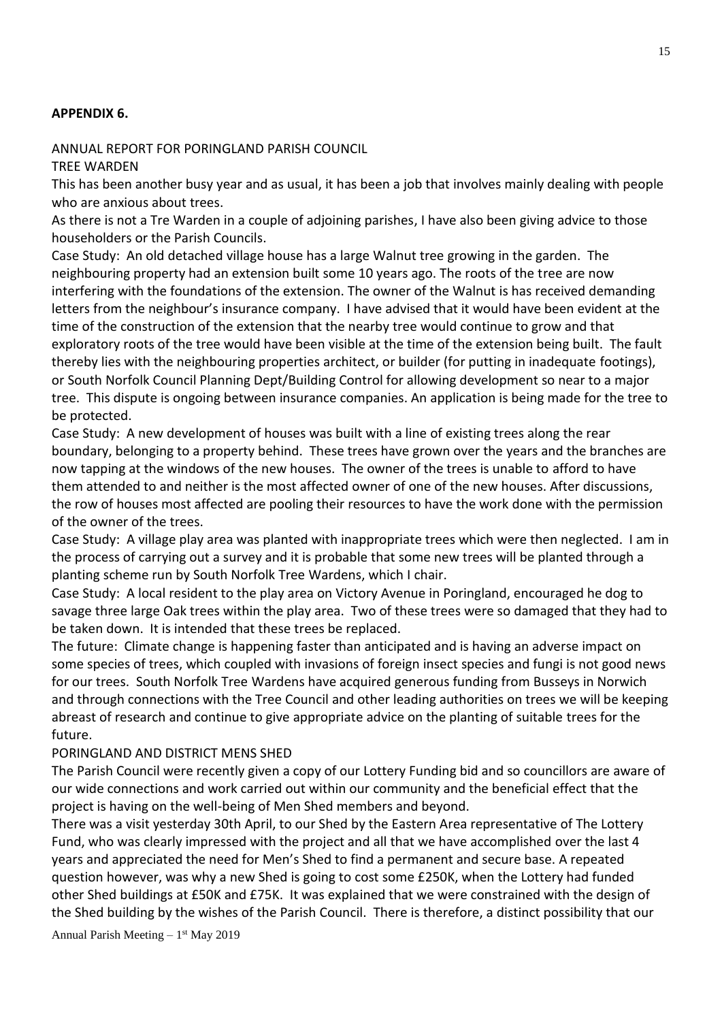### **APPENDIX 6.**

#### ANNUAL REPORT FOR PORINGLAND PARISH COUNCIL

TREE WARDEN

This has been another busy year and as usual, it has been a job that involves mainly dealing with people who are anxious about trees.

As there is not a Tre Warden in a couple of adjoining parishes, I have also been giving advice to those householders or the Parish Councils.

Case Study: An old detached village house has a large Walnut tree growing in the garden. The neighbouring property had an extension built some 10 years ago. The roots of the tree are now interfering with the foundations of the extension. The owner of the Walnut is has received demanding letters from the neighbour's insurance company. I have advised that it would have been evident at the time of the construction of the extension that the nearby tree would continue to grow and that exploratory roots of the tree would have been visible at the time of the extension being built. The fault thereby lies with the neighbouring properties architect, or builder (for putting in inadequate footings), or South Norfolk Council Planning Dept/Building Control for allowing development so near to a major tree. This dispute is ongoing between insurance companies. An application is being made for the tree to be protected.

Case Study: A new development of houses was built with a line of existing trees along the rear boundary, belonging to a property behind. These trees have grown over the years and the branches are now tapping at the windows of the new houses. The owner of the trees is unable to afford to have them attended to and neither is the most affected owner of one of the new houses. After discussions, the row of houses most affected are pooling their resources to have the work done with the permission of the owner of the trees.

Case Study: A village play area was planted with inappropriate trees which were then neglected. I am in the process of carrying out a survey and it is probable that some new trees will be planted through a planting scheme run by South Norfolk Tree Wardens, which I chair.

Case Study: A local resident to the play area on Victory Avenue in Poringland, encouraged he dog to savage three large Oak trees within the play area. Two of these trees were so damaged that they had to be taken down. It is intended that these trees be replaced.

The future: Climate change is happening faster than anticipated and is having an adverse impact on some species of trees, which coupled with invasions of foreign insect species and fungi is not good news for our trees. South Norfolk Tree Wardens have acquired generous funding from Busseys in Norwich and through connections with the Tree Council and other leading authorities on trees we will be keeping abreast of research and continue to give appropriate advice on the planting of suitable trees for the future.

### PORINGLAND AND DISTRICT MENS SHED

The Parish Council were recently given a copy of our Lottery Funding bid and so councillors are aware of our wide connections and work carried out within our community and the beneficial effect that the project is having on the well-being of Men Shed members and beyond.

There was a visit yesterday 30th April, to our Shed by the Eastern Area representative of The Lottery Fund, who was clearly impressed with the project and all that we have accomplished over the last 4 years and appreciated the need for Men's Shed to find a permanent and secure base. A repeated question however, was why a new Shed is going to cost some £250K, when the Lottery had funded other Shed buildings at £50K and £75K. It was explained that we were constrained with the design of the Shed building by the wishes of the Parish Council. There is therefore, a distinct possibility that our